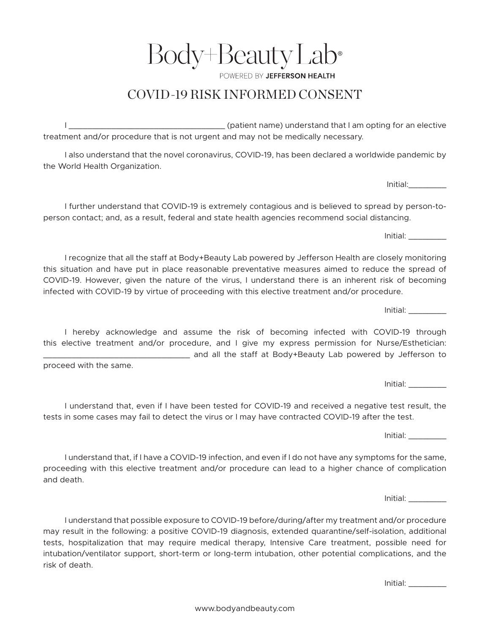**POWERED BY JEFFERSON HEALTH** COVID-19 RISK INFORMED CONSENT

I \_\_\_\_\_\_\_\_\_\_\_\_\_\_\_\_\_\_\_\_\_\_\_\_\_\_\_\_\_\_\_\_\_ (patient name) understand that I am opting for an elective treatment and/or procedure that is not urgent and may not be medically necessary.

I also understand that the novel coronavirus, COVID-19, has been declared a worldwide pandemic by the World Health Organization.

I further understand that COVID-19 is extremely contagious and is believed to spread by person-toperson contact; and, as a result, federal and state health agencies recommend social distancing.

I recognize that all the staff at Body+Beauty Lab powered by Jefferson Health are closely monitoring this situation and have put in place reasonable preventative measures aimed to reduce the spread of COVID-19. However, given the nature of the virus, I understand there is an inherent risk of becoming infected with COVID-19 by virtue of proceeding with this elective treatment and/or procedure.

I hereby acknowledge and assume the risk of becoming infected with COVID-19 through this elective treatment and/or procedure, and I give my express permission for Nurse/Esthetician: \_\_\_\_\_\_\_\_\_\_\_\_\_\_\_\_\_\_\_\_\_\_\_\_\_\_\_\_\_\_\_ and all the staff at Body+Beauty Lab powered by Jefferson to

proceed with the same.

I understand that, even if I have been tested for COVID-19 and received a negative test result, the tests in some cases may fail to detect the virus or I may have contracted COVID-19 after the test.

I understand that, if I have a COVID-19 infection, and even if I do not have any symptoms for the same, proceeding with this elective treatment and/or procedure can lead to a higher chance of complication and death.

I understand that possible exposure to COVID-19 before/during/after my treatment and/or procedure may result in the following: a positive COVID-19 diagnosis, extended quarantine/self-isolation, additional tests, hospitalization that may require medical therapy, Intensive Care treatment, possible need for intubation/ventilator support, short-term or long-term intubation, other potential complications, and the risk of death.

Initial: \_\_\_\_\_\_\_\_

Initial: \_\_\_\_\_\_\_\_

Initial: \_\_\_\_\_\_\_\_

Initial: \_\_\_\_\_\_\_\_

Initial: \_\_\_\_\_\_\_\_

Initial: \_\_\_\_\_\_\_\_

Initial:\_\_\_\_\_\_\_\_

Body+BeautyLab®